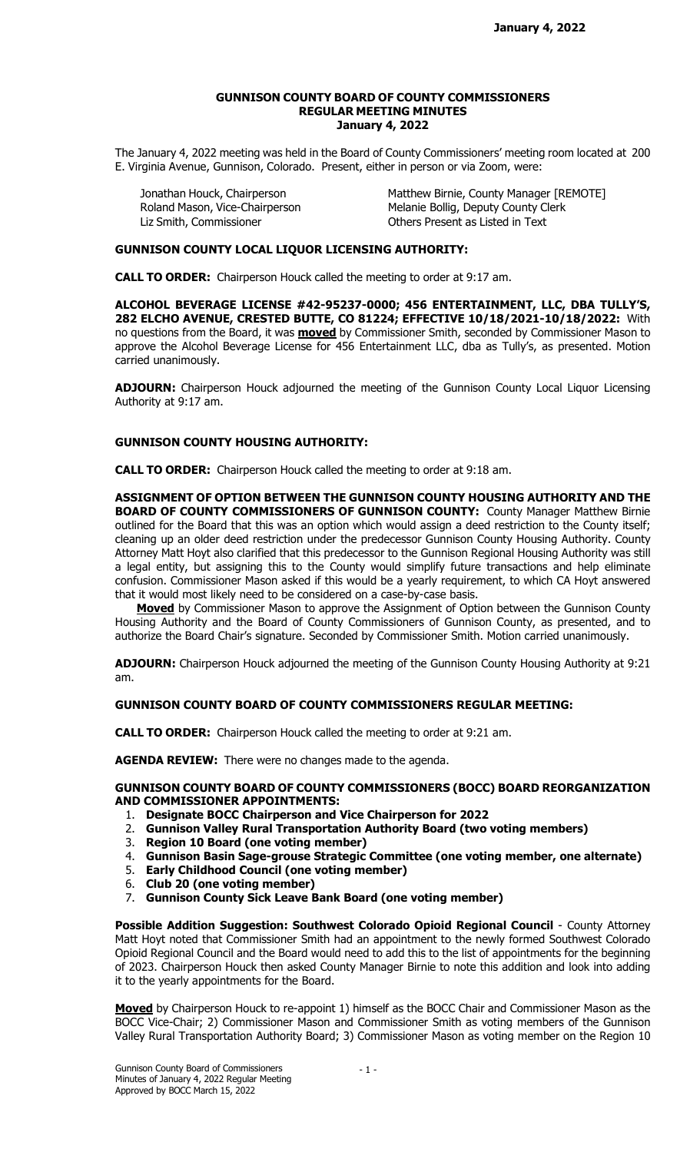#### GUNNISON COUNTY BOARD OF COUNTY COMMISSIONERS REGULAR MEETING MINUTES January 4, 2022

The January 4, 2022 meeting was held in the Board of County Commissioners' meeting room located at 200 E. Virginia Avenue, Gunnison, Colorado. Present, either in person or via Zoom, were:

Liz Smith, Commissioner **Commissioner** Others Present as Listed in Text

Jonathan Houck, Chairperson Matthew Birnie, County Manager [REMOTE] Roland Mason, Vice-Chairperson Melanie Bollig, Deputy County Clerk

### GUNNISON COUNTY LOCAL LIQUOR LICENSING AUTHORITY:

CALL TO ORDER: Chairperson Houck called the meeting to order at 9:17 am.

ALCOHOL BEVERAGE LICENSE #42-95237-0000; 456 ENTERTAINMENT, LLC, DBA TULLY'S, 282 ELCHO AVENUE, CRESTED BUTTE, CO 81224; EFFECTIVE 10/18/2021-10/18/2022: With no questions from the Board, it was **moved** by Commissioner Smith, seconded by Commissioner Mason to approve the Alcohol Beverage License for 456 Entertainment LLC, dba as Tully's, as presented. Motion carried unanimously.

ADJOURN: Chairperson Houck adjourned the meeting of the Gunnison County Local Liquor Licensing Authority at 9:17 am.

## GUNNISON COUNTY HOUSING AUTHORITY:

CALL TO ORDER: Chairperson Houck called the meeting to order at 9:18 am.

ASSIGNMENT OF OPTION BETWEEN THE GUNNISON COUNTY HOUSING AUTHORITY AND THE BOARD OF COUNTY COMMISSIONERS OF GUNNISON COUNTY: County Manager Matthew Birnie outlined for the Board that this was an option which would assign a deed restriction to the County itself; cleaning up an older deed restriction under the predecessor Gunnison County Housing Authority. County Attorney Matt Hoyt also clarified that this predecessor to the Gunnison Regional Housing Authority was still a legal entity, but assigning this to the County would simplify future transactions and help eliminate confusion. Commissioner Mason asked if this would be a yearly requirement, to which CA Hoyt answered that it would most likely need to be considered on a case-by-case basis.

**Moved** by Commissioner Mason to approve the Assignment of Option between the Gunnison County Housing Authority and the Board of County Commissioners of Gunnison County, as presented, and to authorize the Board Chair's signature. Seconded by Commissioner Smith. Motion carried unanimously.

ADJOURN: Chairperson Houck adjourned the meeting of the Gunnison County Housing Authority at 9:21 am.

# GUNNISON COUNTY BOARD OF COUNTY COMMISSIONERS REGULAR MEETING:

CALL TO ORDER: Chairperson Houck called the meeting to order at 9:21 am.

AGENDA REVIEW: There were no changes made to the agenda.

### GUNNISON COUNTY BOARD OF COUNTY COMMISSIONERS (BOCC) BOARD REORGANIZATION AND COMMISSIONER APPOINTMENTS:

- 1. Designate BOCC Chairperson and Vice Chairperson for 2022
- 2. Gunnison Valley Rural Transportation Authority Board (two voting members)
- 3. Region 10 Board (one voting member)
- 4. Gunnison Basin Sage-grouse Strategic Committee (one voting member, one alternate)
- 5. Early Childhood Council (one voting member)
- 6. Club 20 (one voting member)
- 7. Gunnison County Sick Leave Bank Board (one voting member)

Possible Addition Suggestion: Southwest Colorado Opioid Regional Council - County Attorney Matt Hoyt noted that Commissioner Smith had an appointment to the newly formed Southwest Colorado Opioid Regional Council and the Board would need to add this to the list of appointments for the beginning of 2023. Chairperson Houck then asked County Manager Birnie to note this addition and look into adding it to the yearly appointments for the Board.

Moved by Chairperson Houck to re-appoint 1) himself as the BOCC Chair and Commissioner Mason as the BOCC Vice-Chair; 2) Commissioner Mason and Commissioner Smith as voting members of the Gunnison Valley Rural Transportation Authority Board; 3) Commissioner Mason as voting member on the Region 10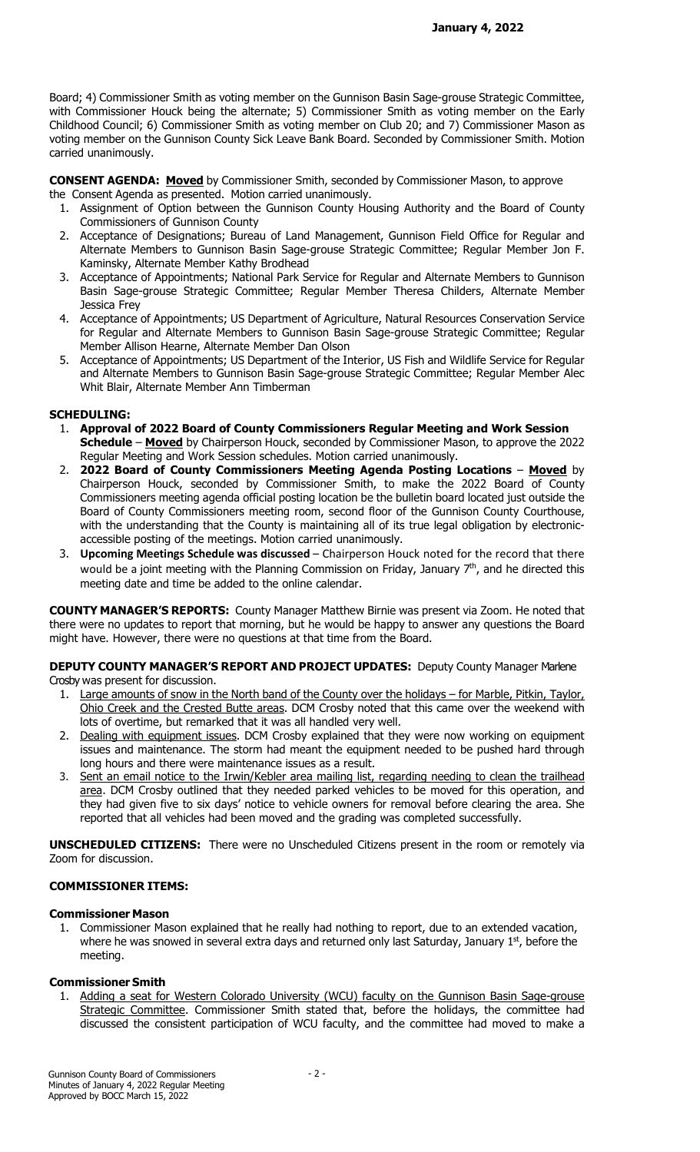Board; 4) Commissioner Smith as voting member on the Gunnison Basin Sage-grouse Strategic Committee, with Commissioner Houck being the alternate; 5) Commissioner Smith as voting member on the Early Childhood Council; 6) Commissioner Smith as voting member on Club 20; and 7) Commissioner Mason as voting member on the Gunnison County Sick Leave Bank Board. Seconded by Commissioner Smith. Motion carried unanimously.

**CONSENT AGENDA: Moved** by Commissioner Smith, seconded by Commissioner Mason, to approve

the Consent Agenda as presented. Motion carried unanimously.

- 1. Assignment of Option between the Gunnison County Housing Authority and the Board of County Commissioners of Gunnison County
- 2. Acceptance of Designations; Bureau of Land Management, Gunnison Field Office for Regular and Alternate Members to Gunnison Basin Sage-grouse Strategic Committee; Regular Member Jon F. Kaminsky, Alternate Member Kathy Brodhead
- 3. Acceptance of Appointments; National Park Service for Regular and Alternate Members to Gunnison Basin Sage-grouse Strategic Committee; Regular Member Theresa Childers, Alternate Member Jessica Frey
- 4. Acceptance of Appointments; US Department of Agriculture, Natural Resources Conservation Service for Regular and Alternate Members to Gunnison Basin Sage-grouse Strategic Committee; Regular Member Allison Hearne, Alternate Member Dan Olson
- 5. Acceptance of Appointments; US Department of the Interior, US Fish and Wildlife Service for Regular and Alternate Members to Gunnison Basin Sage-grouse Strategic Committee; Regular Member Alec Whit Blair, Alternate Member Ann Timberman

# SCHEDULING:

- 1. Approval of 2022 Board of County Commissioners Regular Meeting and Work Session Schedule – Moved by Chairperson Houck, seconded by Commissioner Mason, to approve the 2022 Regular Meeting and Work Session schedules. Motion carried unanimously.
- 2. 2022 Board of County Commissioners Meeting Agenda Posting Locations Moved by Chairperson Houck, seconded by Commissioner Smith, to make the 2022 Board of County Commissioners meeting agenda official posting location be the bulletin board located just outside the Board of County Commissioners meeting room, second floor of the Gunnison County Courthouse, with the understanding that the County is maintaining all of its true legal obligation by electronicaccessible posting of the meetings. Motion carried unanimously.
- 3. Upcoming Meetings Schedule was discussed Chairperson Houck noted for the record that there would be a joint meeting with the Planning Commission on Friday, January  $7<sup>th</sup>$ , and he directed this meeting date and time be added to the online calendar.

COUNTY MANAGER'S REPORTS: County Manager Matthew Birnie was present via Zoom. He noted that there were no updates to report that morning, but he would be happy to answer any questions the Board might have. However, there were no questions at that time from the Board.

### DEPUTY COUNTY MANAGER'S REPORT AND PROJECT UPDATES: Deputy County Manager Marlene Crosby was present for discussion.

- 1. Large amounts of snow in the North band of the County over the holidays for Marble, Pitkin, Taylor, Ohio Creek and the Crested Butte areas. DCM Crosby noted that this came over the weekend with lots of overtime, but remarked that it was all handled very well.
- 2. Dealing with equipment issues. DCM Crosby explained that they were now working on equipment issues and maintenance. The storm had meant the equipment needed to be pushed hard through long hours and there were maintenance issues as a result.
- 3. Sent an email notice to the Irwin/Kebler area mailing list, regarding needing to clean the trailhead area. DCM Crosby outlined that they needed parked vehicles to be moved for this operation, and they had given five to six days' notice to vehicle owners for removal before clearing the area. She reported that all vehicles had been moved and the grading was completed successfully.

**UNSCHEDULED CITIZENS:** There were no Unscheduled Citizens present in the room or remotely via Zoom for discussion.

# COMMISSIONER ITEMS:

## Commissioner Mason

1. Commissioner Mason explained that he really had nothing to report, due to an extended vacation, where he was snowed in several extra days and returned only last Saturday, January  $1<sup>st</sup>$ , before the meeting.

## Commissioner Smith

1. Adding a seat for Western Colorado University (WCU) faculty on the Gunnison Basin Sage-grouse Strategic Committee. Commissioner Smith stated that, before the holidays, the committee had discussed the consistent participation of WCU faculty, and the committee had moved to make a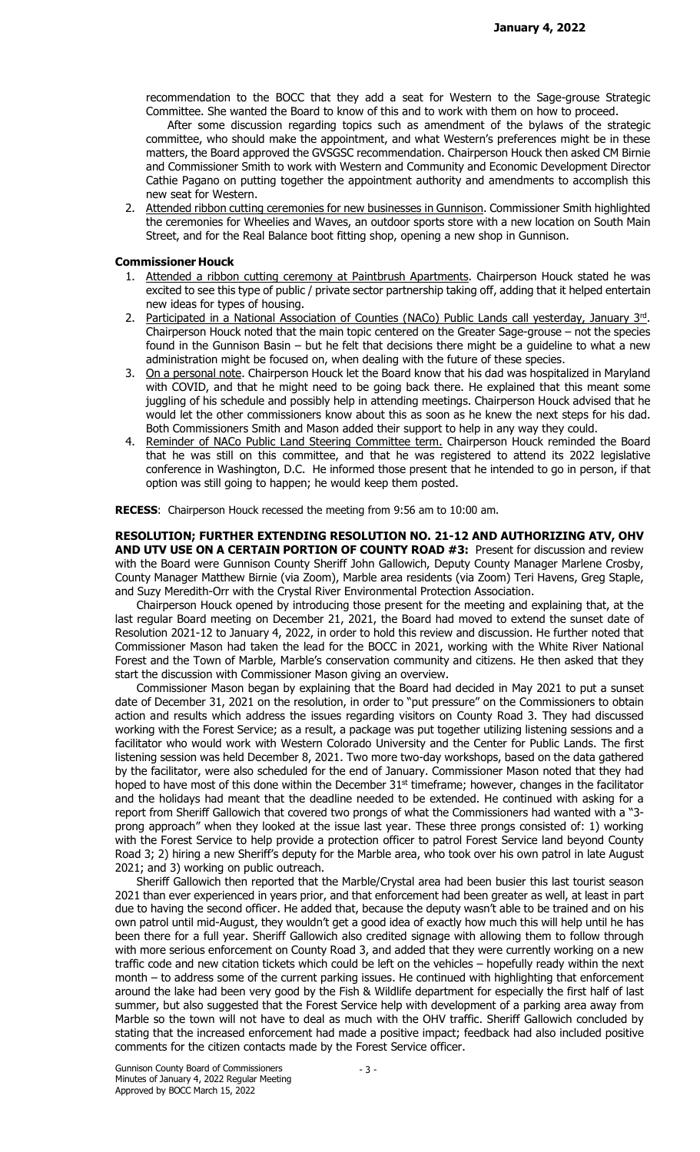recommendation to the BOCC that they add a seat for Western to the Sage-grouse Strategic Committee. She wanted the Board to know of this and to work with them on how to proceed.

 After some discussion regarding topics such as amendment of the bylaws of the strategic committee, who should make the appointment, and what Western's preferences might be in these matters, the Board approved the GVSGSC recommendation. Chairperson Houck then asked CM Birnie and Commissioner Smith to work with Western and Community and Economic Development Director Cathie Pagano on putting together the appointment authority and amendments to accomplish this new seat for Western.

2. Attended ribbon cutting ceremonies for new businesses in Gunnison. Commissioner Smith highlighted the ceremonies for Wheelies and Waves, an outdoor sports store with a new location on South Main Street, and for the Real Balance boot fitting shop, opening a new shop in Gunnison.

#### Commissioner Houck

- 1. Attended a ribbon cutting ceremony at Paintbrush Apartments. Chairperson Houck stated he was excited to see this type of public / private sector partnership taking off, adding that it helped entertain new ideas for types of housing.
- 2. Participated in a National Association of Counties (NACo) Public Lands call yesterday, January 3<sup>rd</sup>. Chairperson Houck noted that the main topic centered on the Greater Sage-grouse – not the species found in the Gunnison Basin – but he felt that decisions there might be a guideline to what a new administration might be focused on, when dealing with the future of these species.
- 3. On a personal note. Chairperson Houck let the Board know that his dad was hospitalized in Maryland with COVID, and that he might need to be going back there. He explained that this meant some juggling of his schedule and possibly help in attending meetings. Chairperson Houck advised that he would let the other commissioners know about this as soon as he knew the next steps for his dad. Both Commissioners Smith and Mason added their support to help in any way they could.
- 4. Reminder of NACo Public Land Steering Committee term. Chairperson Houck reminded the Board that he was still on this committee, and that he was registered to attend its 2022 legislative conference in Washington, D.C. He informed those present that he intended to go in person, if that option was still going to happen; he would keep them posted.

RECESS: Chairperson Houck recessed the meeting from 9:56 am to 10:00 am.

RESOLUTION; FURTHER EXTENDING RESOLUTION NO. 21-12 AND AUTHORIZING ATV, OHV AND UTV USE ON A CERTAIN PORTION OF COUNTY ROAD #3: Present for discussion and review with the Board were Gunnison County Sheriff John Gallowich, Deputy County Manager Marlene Crosby, County Manager Matthew Birnie (via Zoom), Marble area residents (via Zoom) Teri Havens, Greg Staple, and Suzy Meredith-Orr with the Crystal River Environmental Protection Association.

 Chairperson Houck opened by introducing those present for the meeting and explaining that, at the last regular Board meeting on December 21, 2021, the Board had moved to extend the sunset date of Resolution 2021-12 to January 4, 2022, in order to hold this review and discussion. He further noted that Commissioner Mason had taken the lead for the BOCC in 2021, working with the White River National Forest and the Town of Marble, Marble's conservation community and citizens. He then asked that they start the discussion with Commissioner Mason giving an overview.

 Commissioner Mason began by explaining that the Board had decided in May 2021 to put a sunset date of December 31, 2021 on the resolution, in order to "put pressure" on the Commissioners to obtain action and results which address the issues regarding visitors on County Road 3. They had discussed working with the Forest Service; as a result, a package was put together utilizing listening sessions and a facilitator who would work with Western Colorado University and the Center for Public Lands. The first listening session was held December 8, 2021. Two more two-day workshops, based on the data gathered by the facilitator, were also scheduled for the end of January. Commissioner Mason noted that they had hoped to have most of this done within the December 31<sup>st</sup> timeframe; however, changes in the facilitator and the holidays had meant that the deadline needed to be extended. He continued with asking for a report from Sheriff Gallowich that covered two prongs of what the Commissioners had wanted with a "3 prong approach" when they looked at the issue last year. These three prongs consisted of: 1) working with the Forest Service to help provide a protection officer to patrol Forest Service land beyond County Road 3; 2) hiring a new Sheriff's deputy for the Marble area, who took over his own patrol in late August 2021; and 3) working on public outreach.

 Sheriff Gallowich then reported that the Marble/Crystal area had been busier this last tourist season 2021 than ever experienced in years prior, and that enforcement had been greater as well, at least in part due to having the second officer. He added that, because the deputy wasn't able to be trained and on his own patrol until mid-August, they wouldn't get a good idea of exactly how much this will help until he has been there for a full year. Sheriff Gallowich also credited signage with allowing them to follow through with more serious enforcement on County Road 3, and added that they were currently working on a new traffic code and new citation tickets which could be left on the vehicles – hopefully ready within the next month – to address some of the current parking issues. He continued with highlighting that enforcement around the lake had been very good by the Fish & Wildlife department for especially the first half of last summer, but also suggested that the Forest Service help with development of a parking area away from Marble so the town will not have to deal as much with the OHV traffic. Sheriff Gallowich concluded by stating that the increased enforcement had made a positive impact; feedback had also included positive comments for the citizen contacts made by the Forest Service officer.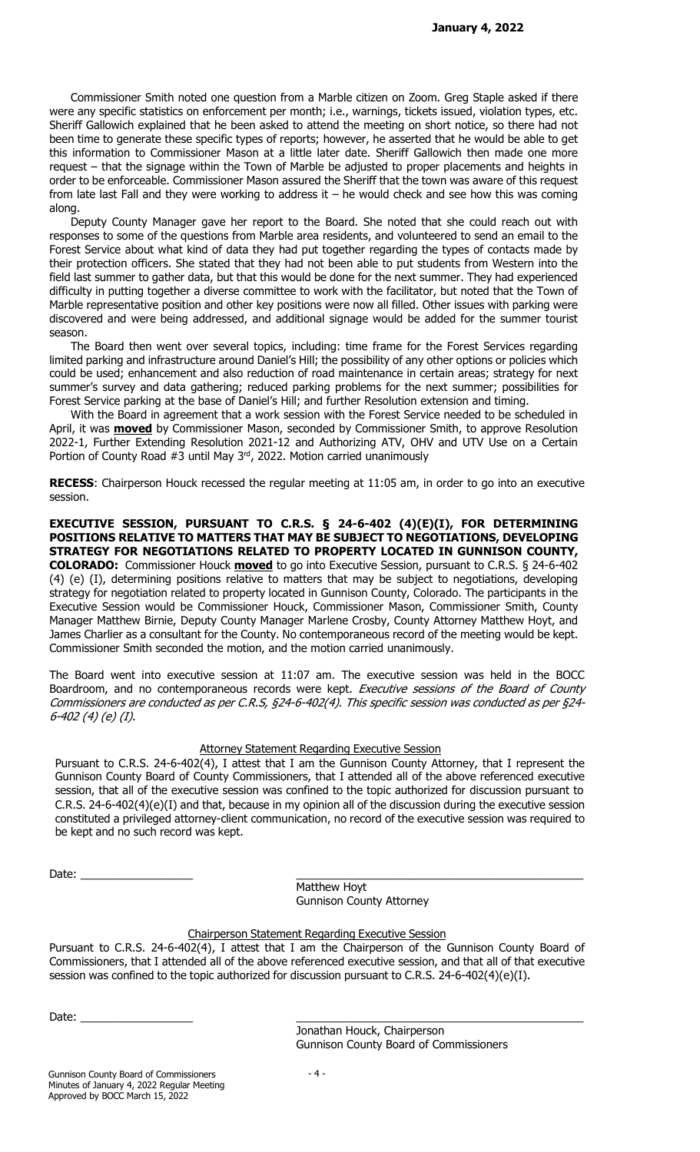Commissioner Smith noted one question from a Marble citizen on Zoom. Greg Staple asked if there were any specific statistics on enforcement per month; i.e., warnings, tickets issued, violation types, etc. Sheriff Gallowich explained that he been asked to attend the meeting on short notice, so there had not been time to generate these specific types of reports; however, he asserted that he would be able to get this information to Commissioner Mason at a little later date. Sheriff Gallowich then made one more request – that the signage within the Town of Marble be adjusted to proper placements and heights in order to be enforceable. Commissioner Mason assured the Sheriff that the town was aware of this request from late last Fall and they were working to address it – he would check and see how this was coming along.

 Deputy County Manager gave her report to the Board. She noted that she could reach out with responses to some of the questions from Marble area residents, and volunteered to send an email to the Forest Service about what kind of data they had put together regarding the types of contacts made by their protection officers. She stated that they had not been able to put students from Western into the field last summer to gather data, but that this would be done for the next summer. They had experienced difficulty in putting together a diverse committee to work with the facilitator, but noted that the Town of Marble representative position and other key positions were now all filled. Other issues with parking were discovered and were being addressed, and additional signage would be added for the summer tourist season.

 The Board then went over several topics, including: time frame for the Forest Services regarding limited parking and infrastructure around Daniel's Hill; the possibility of any other options or policies which could be used; enhancement and also reduction of road maintenance in certain areas; strategy for next summer's survey and data gathering; reduced parking problems for the next summer; possibilities for Forest Service parking at the base of Daniel's Hill; and further Resolution extension and timing.

 With the Board in agreement that a work session with the Forest Service needed to be scheduled in April, it was **moved** by Commissioner Mason, seconded by Commissioner Smith, to approve Resolution 2022-1, Further Extending Resolution 2021-12 and Authorizing ATV, OHV and UTV Use on a Certain Portion of County Road #3 until May 3<sup>rd</sup>, 2022. Motion carried unanimously

RECESS: Chairperson Houck recessed the regular meeting at 11:05 am, in order to go into an executive session.

EXECUTIVE SESSION, PURSUANT TO C.R.S. § 24-6-402 (4)(E)(I), FOR DETERMINING POSITIONS RELATIVE TO MATTERS THAT MAY BE SUBJECT TO NEGOTIATIONS, DEVELOPING STRATEGY FOR NEGOTIATIONS RELATED TO PROPERTY LOCATED IN GUNNISON COUNTY, **COLORADO:** Commissioner Houck **moved** to go into Executive Session, pursuant to C.R.S. § 24-6-402 (4) (e) (I), determining positions relative to matters that may be subject to negotiations, developing strategy for negotiation related to property located in Gunnison County, Colorado. The participants in the Executive Session would be Commissioner Houck, Commissioner Mason, Commissioner Smith, County Manager Matthew Birnie, Deputy County Manager Marlene Crosby, County Attorney Matthew Hoyt, and James Charlier as a consultant for the County. No contemporaneous record of the meeting would be kept. Commissioner Smith seconded the motion, and the motion carried unanimously.

The Board went into executive session at 11:07 am. The executive session was held in the BOCC Boardroom, and no contemporaneous records were kept. Executive sessions of the Board of County Commissioners are conducted as per C.R.S, §24-6-402(4). This specific session was conducted as per §24- 6-402 (4) (e) (I).

#### Attorney Statement Regarding Executive Session

Pursuant to C.R.S. 24-6-402(4), I attest that I am the Gunnison County Attorney, that I represent the Gunnison County Board of County Commissioners, that I attended all of the above referenced executive session, that all of the executive session was confined to the topic authorized for discussion pursuant to C.R.S. 24-6-402(4)(e)(I) and that, because in my opinion all of the discussion during the executive session constituted a privileged attorney-client communication, no record of the executive session was required to be kept and no such record was kept.

| $\n  l$<br>Date: |  |
|------------------|--|
|                  |  |

 Matthew Hoyt Gunnison County Attorney

## Chairperson Statement Regarding Executive Session

Pursuant to C.R.S. 24-6-402(4), I attest that I am the Chairperson of the Gunnison County Board of Commissioners, that I attended all of the above referenced executive session, and that all of that executive session was confined to the topic authorized for discussion pursuant to C.R.S. 24-6-402(4)(e)(I).

Date: \_\_\_\_\_\_\_\_\_\_\_\_\_\_\_\_\_\_ \_\_\_\_\_\_\_\_\_\_\_\_\_\_\_\_\_\_\_\_\_\_\_\_\_\_\_\_\_\_\_\_\_\_\_\_\_\_\_\_\_\_\_\_\_\_

 Jonathan Houck, Chairperson Gunnison County Board of Commissioners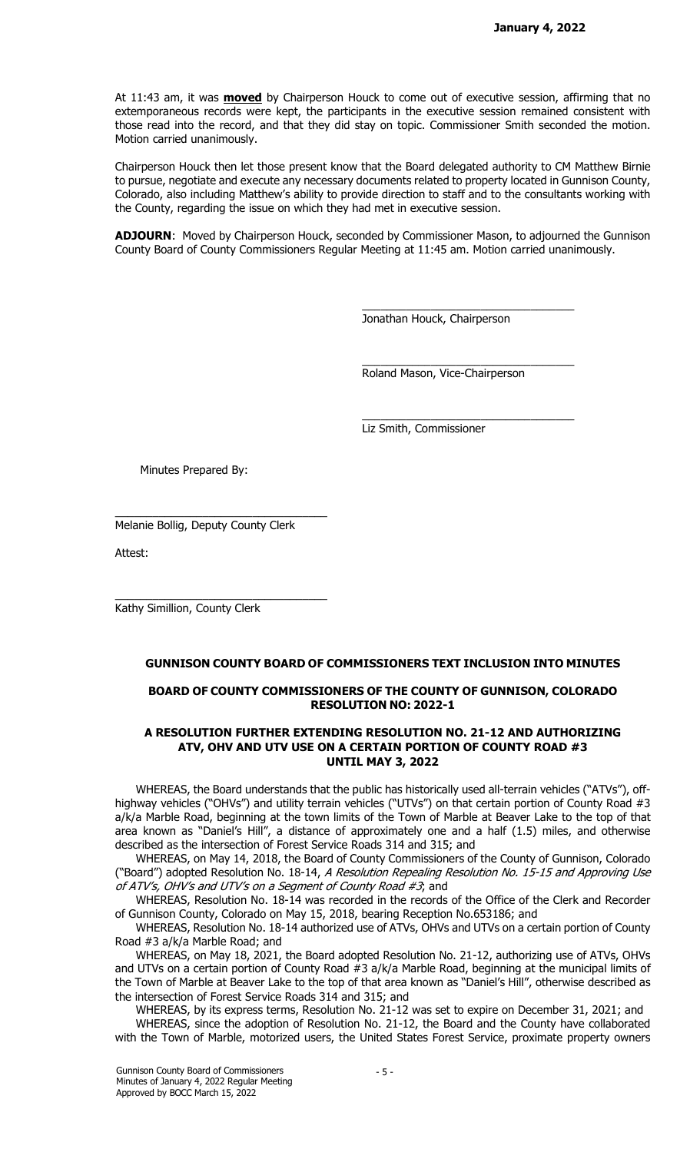At 11:43 am, it was **moved** by Chairperson Houck to come out of executive session, affirming that no extemporaneous records were kept, the participants in the executive session remained consistent with those read into the record, and that they did stay on topic. Commissioner Smith seconded the motion. Motion carried unanimously.

Chairperson Houck then let those present know that the Board delegated authority to CM Matthew Birnie to pursue, negotiate and execute any necessary documents related to property located in Gunnison County, Colorado, also including Matthew's ability to provide direction to staff and to the consultants working with the County, regarding the issue on which they had met in executive session.

ADJOURN: Moved by Chairperson Houck, seconded by Commissioner Mason, to adjourned the Gunnison County Board of County Commissioners Regular Meeting at 11:45 am. Motion carried unanimously.

Jonathan Houck, Chairperson

\_\_\_\_\_\_\_\_\_\_\_\_\_\_\_\_\_\_\_\_\_\_\_\_\_\_\_\_\_\_\_\_\_\_

\_\_\_\_\_\_\_\_\_\_\_\_\_\_\_\_\_\_\_\_\_\_\_\_\_\_\_\_\_\_\_\_\_\_

\_\_\_\_\_\_\_\_\_\_\_\_\_\_\_\_\_\_\_\_\_\_\_\_\_\_\_\_\_\_\_\_\_\_

Roland Mason, Vice-Chairperson

Liz Smith, Commissioner

Minutes Prepared By:

Melanie Bollig, Deputy County Clerk

\_\_\_\_\_\_\_\_\_\_\_\_\_\_\_\_\_\_\_\_\_\_\_\_\_\_\_\_\_\_\_\_\_\_

\_\_\_\_\_\_\_\_\_\_\_\_\_\_\_\_\_\_\_\_\_\_\_\_\_\_\_\_\_\_\_\_\_\_

Attest:

Kathy Simillion, County Clerk

#### GUNNISON COUNTY BOARD OF COMMISSIONERS TEXT INCLUSION INTO MINUTES

### BOARD OF COUNTY COMMISSIONERS OF THE COUNTY OF GUNNISON, COLORADO RESOLUTION NO: 2022-1

#### A RESOLUTION FURTHER EXTENDING RESOLUTION NO. 21-12 AND AUTHORIZING ATV, OHV AND UTV USE ON A CERTAIN PORTION OF COUNTY ROAD #3 UNTIL MAY 3, 2022

WHEREAS, the Board understands that the public has historically used all-terrain vehicles ("ATVs"), offhighway vehicles ("OHVs") and utility terrain vehicles ("UTVs") on that certain portion of County Road #3 a/k/a Marble Road, beginning at the town limits of the Town of Marble at Beaver Lake to the top of that area known as "Daniel's Hill", a distance of approximately one and a half (1.5) miles, and otherwise described as the intersection of Forest Service Roads 314 and 315; and

WHEREAS, on May 14, 2018, the Board of County Commissioners of the County of Gunnison, Colorado ("Board") adopted Resolution No. 18-14, A Resolution Repealing Resolution No. 15-15 and Approving Use of ATV's, OHV's and UTV's on a Segment of County Road #3; and

WHEREAS, Resolution No. 18-14 was recorded in the records of the Office of the Clerk and Recorder of Gunnison County, Colorado on May 15, 2018, bearing Reception No.653186; and

WHEREAS, Resolution No. 18-14 authorized use of ATVs, OHVs and UTVs on a certain portion of County Road #3 a/k/a Marble Road; and

WHEREAS, on May 18, 2021, the Board adopted Resolution No. 21-12, authorizing use of ATVs, OHVs and UTVs on a certain portion of County Road #3 a/k/a Marble Road, beginning at the municipal limits of the Town of Marble at Beaver Lake to the top of that area known as "Daniel's Hill", otherwise described as the intersection of Forest Service Roads 314 and 315; and

WHEREAS, by its express terms, Resolution No. 21-12 was set to expire on December 31, 2021; and WHEREAS, since the adoption of Resolution No. 21-12, the Board and the County have collaborated with the Town of Marble, motorized users, the United States Forest Service, proximate property owners